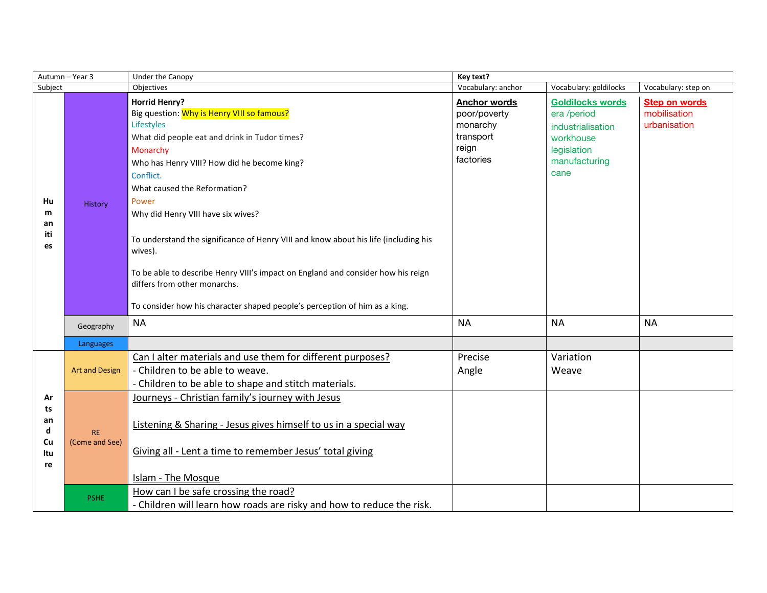| Autumn - Year 3                        |                             | Under the Canopy                                                                                                                                                                                                                                                                                                                                                                                                                                                                                                                                                                             | Key text?                                                                          |                                                                                                                  |                                                      |  |
|----------------------------------------|-----------------------------|----------------------------------------------------------------------------------------------------------------------------------------------------------------------------------------------------------------------------------------------------------------------------------------------------------------------------------------------------------------------------------------------------------------------------------------------------------------------------------------------------------------------------------------------------------------------------------------------|------------------------------------------------------------------------------------|------------------------------------------------------------------------------------------------------------------|------------------------------------------------------|--|
| Subject                                |                             | Objectives                                                                                                                                                                                                                                                                                                                                                                                                                                                                                                                                                                                   | Vocabulary: anchor                                                                 | Vocabulary: goldilocks                                                                                           | Vocabulary: step on                                  |  |
| Hu<br>m<br>an<br>iti<br>es             | <b>History</b>              | <b>Horrid Henry?</b><br>Big question: Why is Henry VIII so famous?<br>Lifestyles<br>What did people eat and drink in Tudor times?<br>Monarchy<br>Who has Henry VIII? How did he become king?<br>Conflict.<br>What caused the Reformation?<br>Power<br>Why did Henry VIII have six wives?<br>To understand the significance of Henry VIII and know about his life (including his<br>wives).<br>To be able to describe Henry VIII's impact on England and consider how his reign<br>differs from other monarchs.<br>To consider how his character shaped people's perception of him as a king. | <b>Anchor words</b><br>poor/poverty<br>monarchy<br>transport<br>reign<br>factories | <b>Goldilocks words</b><br>era /period<br>industrialisation<br>workhouse<br>legislation<br>manufacturing<br>cane | <b>Step on words</b><br>mobilisation<br>urbanisation |  |
|                                        | Geography                   | <b>NA</b>                                                                                                                                                                                                                                                                                                                                                                                                                                                                                                                                                                                    | <b>NA</b>                                                                          | <b>NA</b>                                                                                                        | <b>NA</b>                                            |  |
|                                        | Languages                   |                                                                                                                                                                                                                                                                                                                                                                                                                                                                                                                                                                                              |                                                                                    |                                                                                                                  |                                                      |  |
| Ar<br>ts<br>an<br>d<br>Cu<br>ltu<br>re | <b>Art and Design</b>       | Can I alter materials and use them for different purposes?<br>- Children to be able to weave.<br>- Children to be able to shape and stitch materials.                                                                                                                                                                                                                                                                                                                                                                                                                                        | Precise<br>Angle                                                                   | Variation<br>Weave                                                                                               |                                                      |  |
|                                        | <b>RE</b><br>(Come and See) | Journeys - Christian family's journey with Jesus<br>Listening & Sharing - Jesus gives himself to us in a special way<br>Giving all - Lent a time to remember Jesus' total giving<br><b>Islam - The Mosque</b>                                                                                                                                                                                                                                                                                                                                                                                |                                                                                    |                                                                                                                  |                                                      |  |
|                                        | <b>PSHE</b>                 | How can I be safe crossing the road?<br>- Children will learn how roads are risky and how to reduce the risk.                                                                                                                                                                                                                                                                                                                                                                                                                                                                                |                                                                                    |                                                                                                                  |                                                      |  |